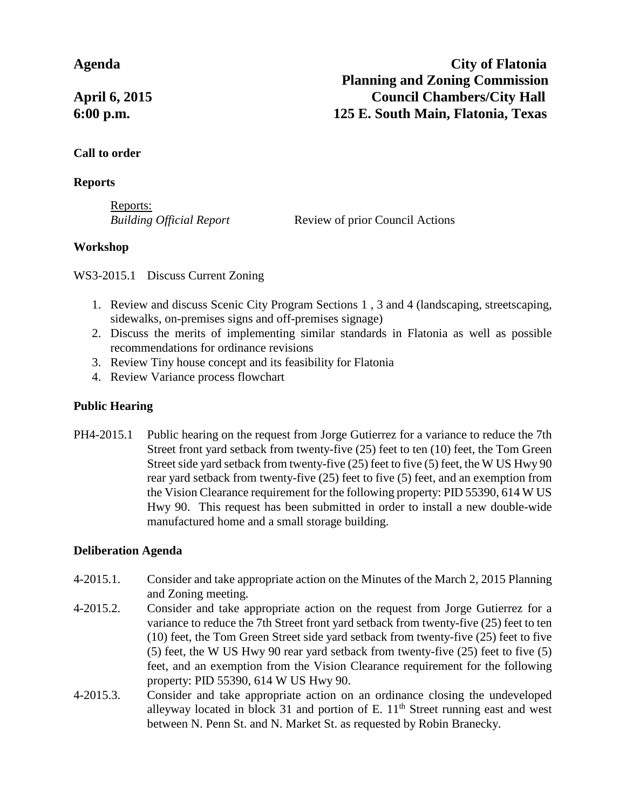#### **Call to order**

#### **Reports**

Reports:

*Building Official Report* Review of prior Council Actions

## **Workshop**

WS3-2015.1 Discuss Current Zoning

- 1. Review and discuss Scenic City Program Sections 1 , 3 and 4 (landscaping, streetscaping, sidewalks, on-premises signs and off-premises signage)
- 2. Discuss the merits of implementing similar standards in Flatonia as well as possible recommendations for ordinance revisions
- 3. Review Tiny house concept and its feasibility for Flatonia
- 4. Review Variance process flowchart

## **Public Hearing**

PH4-2015.1 Public hearing on the request from Jorge Gutierrez for a variance to reduce the 7th Street front yard setback from twenty-five (25) feet to ten (10) feet, the Tom Green Street side yard setback from twenty-five (25) feet to five (5) feet, the W US Hwy 90 rear yard setback from twenty-five (25) feet to five (5) feet, and an exemption from the Vision Clearance requirement for the following property: PID 55390, 614 W US Hwy 90. This request has been submitted in order to install a new double-wide manufactured home and a small storage building.

## **Deliberation Agenda**

- 4-2015.1. Consider and take appropriate action on the Minutes of the March 2, 2015 Planning and Zoning meeting.
- 4-2015.2. Consider and take appropriate action on the request from Jorge Gutierrez for a variance to reduce the 7th Street front yard setback from twenty-five (25) feet to ten (10) feet, the Tom Green Street side yard setback from twenty-five (25) feet to five (5) feet, the W US Hwy 90 rear yard setback from twenty-five (25) feet to five (5) feet, and an exemption from the Vision Clearance requirement for the following property: PID 55390, 614 W US Hwy 90.
- 4-2015.3. Consider and take appropriate action on an ordinance closing the undeveloped alleyway located in block 31 and portion of E.  $11<sup>th</sup>$  Street running east and west between N. Penn St. and N. Market St. as requested by Robin Branecky.